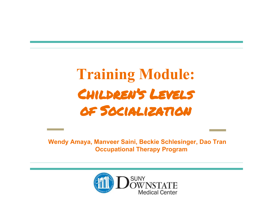# Training Module: Children's Levels of Socialization

Wendy Amaya, Manveer Saini, Beckie Schlesinger, Dao Tran Occupational Therapy Program

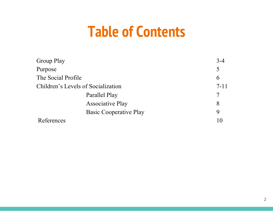### **Table of Contents**

| Group Play                         |                               | $3-4$    |
|------------------------------------|-------------------------------|----------|
| Purpose                            |                               | 5        |
| The Social Profile                 |                               | 6        |
| Children's Levels of Socialization |                               | $7 - 11$ |
|                                    | Parallel Play                 |          |
|                                    | <b>Associative Play</b>       | 8        |
|                                    | <b>Basic Cooperative Play</b> | 9        |
| References                         |                               | 10       |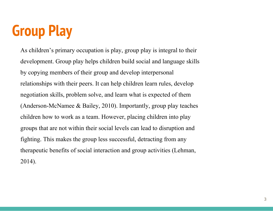# Group Play

As children's primary occupation is play, group play is integral to their development. Group play helps children build social and language skills by copying members of their group and develop interpersonal relationships with their peers. It can help children learn rules, develop negotiation skills, problem solve, and learn what is expected of them (Anderson-McNamee & Bailey, 2010). Importantly, group play teaches children how to work as a team. However, placing children into play groups that are not within their social levels can lead to disruption and fighting. This makes the group less successful, detracting from any therapeutic benefits of social interaction and group activities (Lehman, 2014).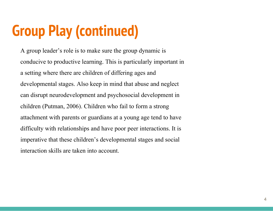# Group Play (continued)

A group leader's role is to make sure the group dynamic is conducive to productive learning. This is particularly important in a setting where there are children of differing ages and developmental stages. Also keep in mind that abuse and neglect can disrupt neurodevelopment and psychosocial development in children (Putman, 2006). Children who fail to form a strong attachment with parents or guardians at a young age tend to have difficulty with relationships and have poor peer interactions. It is imperative that these children's developmental stages and social interaction skills are taken into account.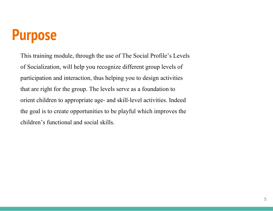### Purpose

This training module, through the use of The Social Profile's Levels of Socialization, will help you recognize different group levels of participation and interaction, thus helping you to design activities that are right for the group. The levels serve as a foundation to orient children to appropriate age- and skill-level activities. Indeed the goal is to create opportunities to be playful which improves the children's functional and social skills.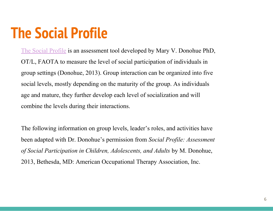## The Social Profile

[The Social Profile](https://www.maryvdonohue.com/) is an assessment tool developed by Mary V. Donohue PhD, OT/L, FAOTA to measure the level of social participation of individuals in group settings (Donohue, 2013). Group interaction can be organized into five social levels, mostly depending on the maturity of the group. As individuals age and mature, they further develop each level of socialization and will combine the levels during their interactions.

The following information on group levels, leader's roles, and activities have been adapted with Dr. Donohue's permission from Social Profile: Assessment of Social Participation in Children, Adolescents, and Adults by M. Donohue, 2013, Bethesda, MD: American Occupational Therapy Association, Inc.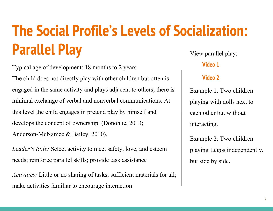### The Social Profile's Levels of Socialization: Parallel Play View parallel play:

Typical age of development: 18 months to 2 years The child does not directly play with other children but often is engaged in the same activity and plays adjacent to others; there is minimal exchange of verbal and nonverbal communications. At this level the child engages in pretend play by himself and develops the concept of ownership. (Donohue, 2013; Anderson-McNamee & Bailey, 2010).

Leader's Role: Select activity to meet safety, love, and esteem needs; reinforce parallel skills; provide task assistance

Activities: Little or no sharing of tasks; sufficient materials for all; make activities familiar to encourage interaction

#### [Video 1](https://www.youtube.com/watch?v=_PggEwYHW_0)

#### [Video 2](https://www.youtube.com/watch?v=Jp1-tgYUnUs)

Example 1: Two children playing with dolls next to each other but without interacting.

Example 2: Two children playing Legos independently, but side by side.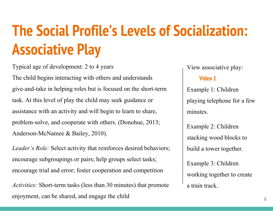# The Social Profile's Levels of Socialization: Associative Play

Typical age of development: 2 to 4 years The child begins interacting with others and understands give-and-take in helping roles but is focused on the short-term task. At this level of play the child may seek guidance or assistance with an activity and will begin to learn to share, problem-solve, and cooperate with others. (Donohue, 2013; Anderson-McNamee & Bailey, 2010).

Leader's Role: Select activity that reinforces desired behaviors; encourage subgroupings or pairs; help groups select tasks; encourage trial and error; foster cooperation and competition

Activities: Short-term tasks (less than 30 minutes) that promote enjoyment, can be shared, and engage the child

View associative play:

#### [Video 1](https://youtu.be/MdVhHB9ku0w)

Example 1: Children playing telephone for a few minutes.

Example 2: Children stacking wood blocks to build a tower together.

Example 3: Children working together to create a train track.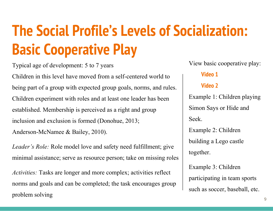# The Social Profile's Levels of Socialization: Basic Cooperative Play

Typical age of development: 5 to 7 years

Children in this level have moved from a self-centered world to being part of a group with expected group goals, norms, and rules. Children experiment with roles and at least one leader has been established. Membership is perceived as a right and group inclusion and exclusion is formed (Donohue, 2013; Anderson-McNamee & Bailey, 2010).

Leader's Role: Role model love and safety need fulfillment; give minimal assistance; serve as resource person; take on missing roles

Activities: Tasks are longer and more complex; activities reflect norms and goals and can be completed; the task encourages group problem solving

View basic cooperative play:

#### [Video 1](https://www.youtube.com/watch?v=r0xpWU3w3pQ)

#### [Video 2](https://www.youtube.com/watch?v=YD1zgNhhk-w)

Example 1: Children playing Simon Says or Hide and Seek. Example 2: Children building a Lego castle together. Example 3: Children participating in team sports

such as soccer, baseball, etc.